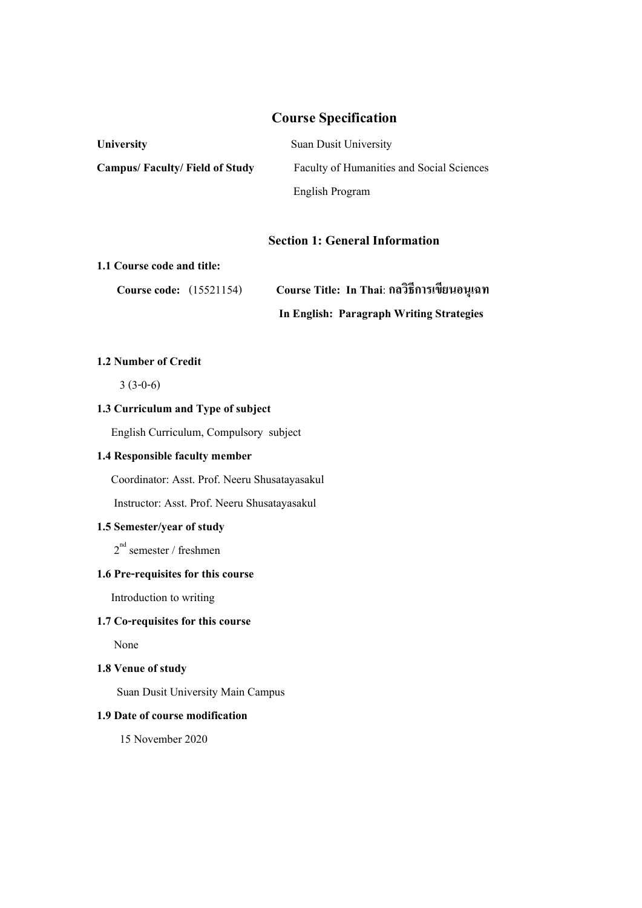# **Course Specification**

| <b>University</b>                    | <b>Suan Dusit University</b>                     |
|--------------------------------------|--------------------------------------------------|
| <b>Campus/Faculty/Field of Study</b> | <b>Faculty of Humanities and Social Sciences</b> |
|                                      | English Program                                  |

#### **Section 1: General Information**

#### **1.1 Course code and title:**

| <b>Course code:</b> (15521154) | Course Title: In Thai: กลวิธีการเขียนอนุเฉท |
|--------------------------------|---------------------------------------------|
|                                | In English: Paragraph Writing Strategies    |

# **1.2 Number of Credit**

3 (3-0-6)

# **1.3 Curriculum and Type of subject**

English Curriculum, Compulsory subject

## **1.4 Responsible faculty member**

Coordinator: Asst. Prof. Neeru Shusatayasakul

Instructor: Asst. Prof. Neeru Shusatayasakul

### **1.5 Semester/year of study**

2<sup>nd</sup> semester / freshmen

### **1.6 Pre-requisites for this course**

Introduction to writing

# **1.7 Co-requisites for this course**

None

# **1.8 Venue of study**

Suan Dusit University Main Campus

### **1.9 Date of course modification**

15 November 2020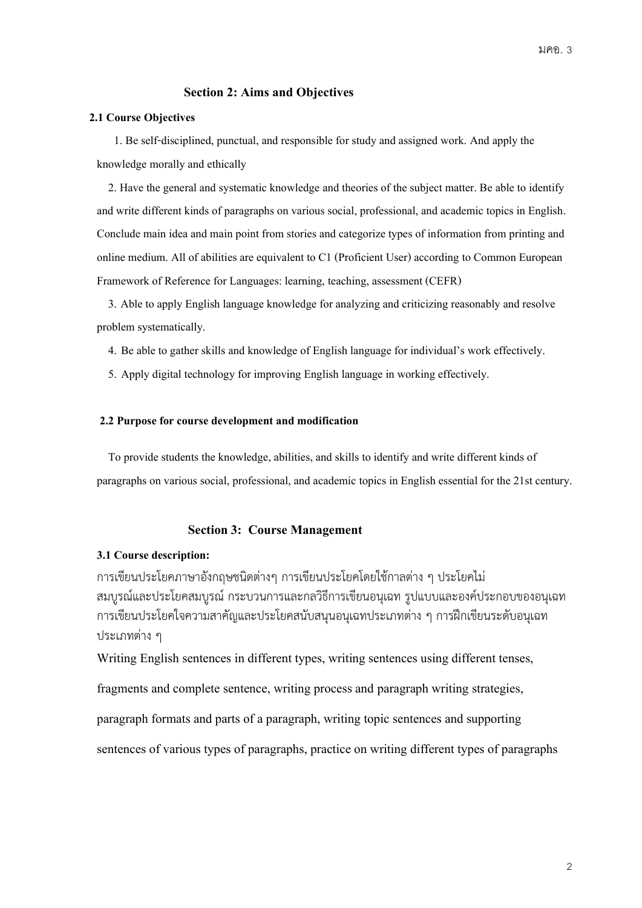#### **Section 2: Aims and Objectives**

#### **2.1 Course Objectives**

1. Be self-disciplined, punctual, and responsible for study and assigned work. And apply the knowledge morally and ethically

 2. Have the general and systematic knowledge and theories of the subject matter. Be able to identify and write different kinds of paragraphs on various social, professional, and academic topics in English. Conclude main idea and main point from stories and categorize types of information from printing and online medium. All of abilities are equivalent to C1 (Proficient User) according to Common European Framework of Reference for Languages: learning, teaching, assessment (CEFR)

 3. Able to apply English language knowledge for analyzing and criticizing reasonably and resolve problem systematically.

4. Be able to gather skills and knowledge of English language for individual's work effectively.

5. Apply digital technology for improving English language in working effectively.

#### **2.2 Purpose for course development and modification**

 To provide students the knowledge, abilities, and skills to identify and write different kinds of paragraphson various social, professional, and academic topics in English essential for the 21st century.

#### **Section 3: Course Management**

#### **3.1 Course description:**

การเขียนประโยคภาษาอังกฤษชนิดต่างๆ การเขียนประโยคโดยใช้กาลต่าง ๆ ประโยคไม่ สมบูรณ์และประโยคสมบูรณ์กระบวนการและกลวิธีการเขียนอนุเฉท รูปแบบและองค์ประกอบของอนุเฉท การเขียนประโยคใจความสาคัญและประโยคสนับสนุนอนุเฉทประเภทต่าง ๆ การฝึกเขียนระดับอนุเฉท ประเภทต่าง ๆ

Writing English sentences in different types, writing sentences using different tenses,

fragments and complete sentence, writing process and paragraph writing strategies,

paragraph formats and parts of a paragraph, writing topic sentences and supporting

sentences of various types of paragraphs, practice on writing different types of paragraphs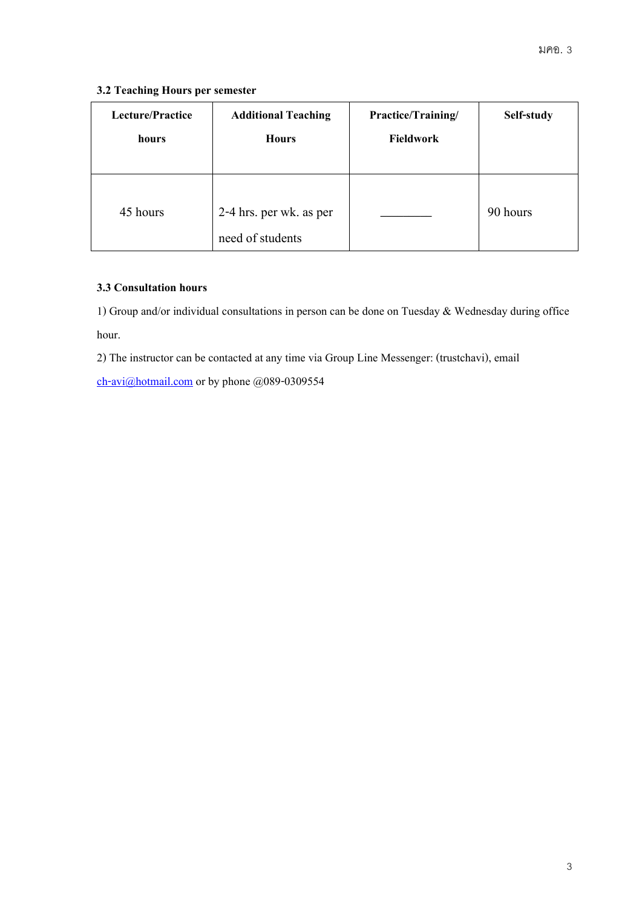### **3.2 Teaching Hours per semester**

| <b>Lecture/Practice</b> | <b>Additional Teaching</b>                  | Practice/Training/ | Self-study |
|-------------------------|---------------------------------------------|--------------------|------------|
| hours                   | <b>Hours</b>                                | <b>Fieldwork</b>   |            |
| 45 hours                | 2-4 hrs. per wk. as per<br>need of students |                    | 90 hours   |

#### **3.3 Consultation hours**

1) Group and/or individual consultations in person can be done on Tuesday & Wednesday during office hour.

2) The instructor can be contacted at any time via Group Line Messenger: (trustchavi), email

[ch-avi@hotmail.com](mailto:ch-avi@hotmail.com) or by phone @089-0309554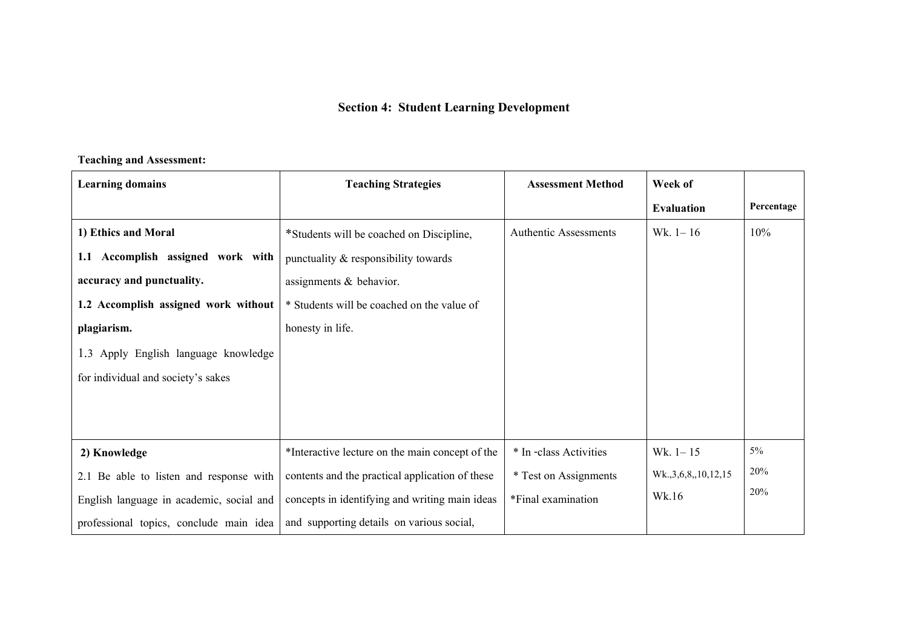# **Section 4: Student Learning Development**

#### **Teaching and Assessment:**

| <b>Learning domains</b>                  | <b>Teaching Strategies</b>                      | <b>Assessment Method</b>     | Week of                  |            |
|------------------------------------------|-------------------------------------------------|------------------------------|--------------------------|------------|
|                                          |                                                 |                              | <b>Evaluation</b>        | Percentage |
| 1) Ethics and Moral                      | *Students will be coached on Discipline,        | <b>Authentic Assessments</b> | Wk. $1 - 16$             | 10%        |
| 1.1 Accomplish assigned work with        | punctuality & responsibility towards            |                              |                          |            |
| accuracy and punctuality.                | assignments & behavior.                         |                              |                          |            |
| 1.2 Accomplish assigned work without     | * Students will be coached on the value of      |                              |                          |            |
| plagiarism.                              | honesty in life.                                |                              |                          |            |
| 1.3 Apply English language knowledge     |                                                 |                              |                          |            |
| for individual and society's sakes       |                                                 |                              |                          |            |
|                                          |                                                 |                              |                          |            |
|                                          |                                                 |                              |                          |            |
| 2) Knowledge                             | *Interactive lecture on the main concept of the | * In -class Activities       | Wk. $1 - 15$             | $5\%$      |
| 2.1 Be able to listen and response with  | contents and the practical application of these | * Test on Assignments        | Wk., 3, 6, 8, 10, 12, 15 | 20%        |
| English language in academic, social and | concepts in identifying and writing main ideas  | *Final examination           | Wk.16                    | 20%        |
| professional topics, conclude main idea  | and supporting details on various social,       |                              |                          |            |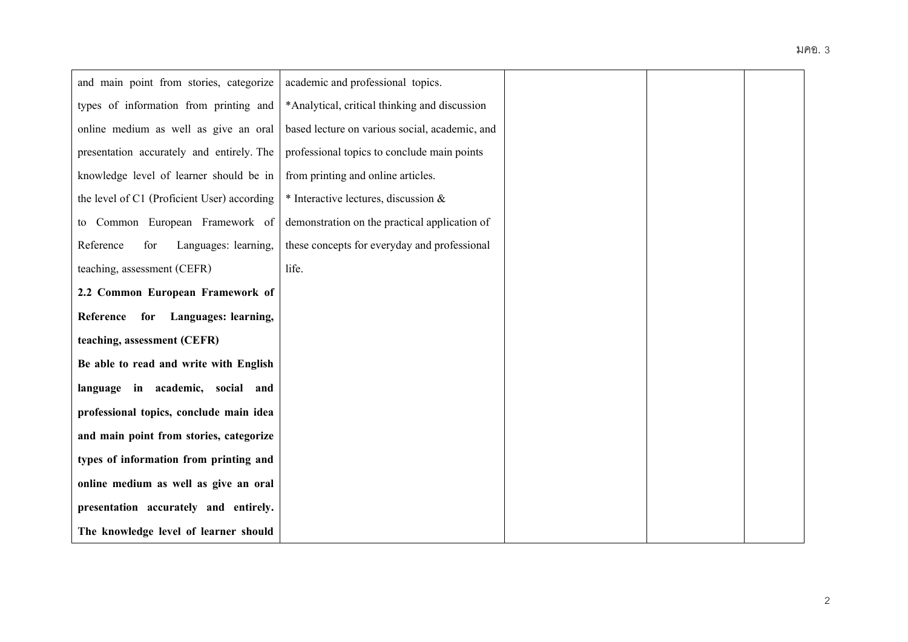# มคอ. 3

| and main point from stories, categorize     | academic and professional topics.              |  |  |
|---------------------------------------------|------------------------------------------------|--|--|
| types of information from printing and      | *Analytical, critical thinking and discussion  |  |  |
| online medium as well as give an oral       | based lecture on various social, academic, and |  |  |
| presentation accurately and entirely. The   | professional topics to conclude main points    |  |  |
| knowledge level of learner should be in     | from printing and online articles.             |  |  |
| the level of C1 (Proficient User) according | $*$ Interactive lectures, discussion $&$       |  |  |
| to Common European Framework of             | demonstration on the practical application of  |  |  |
| Reference<br>for<br>Languages: learning,    | these concepts for everyday and professional   |  |  |
| teaching, assessment (CEFR)                 | life.                                          |  |  |
| 2.2 Common European Framework of            |                                                |  |  |
| for Languages: learning,<br>Reference       |                                                |  |  |
| teaching, assessment (CEFR)                 |                                                |  |  |
| Be able to read and write with English      |                                                |  |  |
| language in academic, social and            |                                                |  |  |
| professional topics, conclude main idea     |                                                |  |  |
| and main point from stories, categorize     |                                                |  |  |
| types of information from printing and      |                                                |  |  |
| online medium as well as give an oral       |                                                |  |  |
| presentation accurately and entirely.       |                                                |  |  |
| The knowledge level of learner should       |                                                |  |  |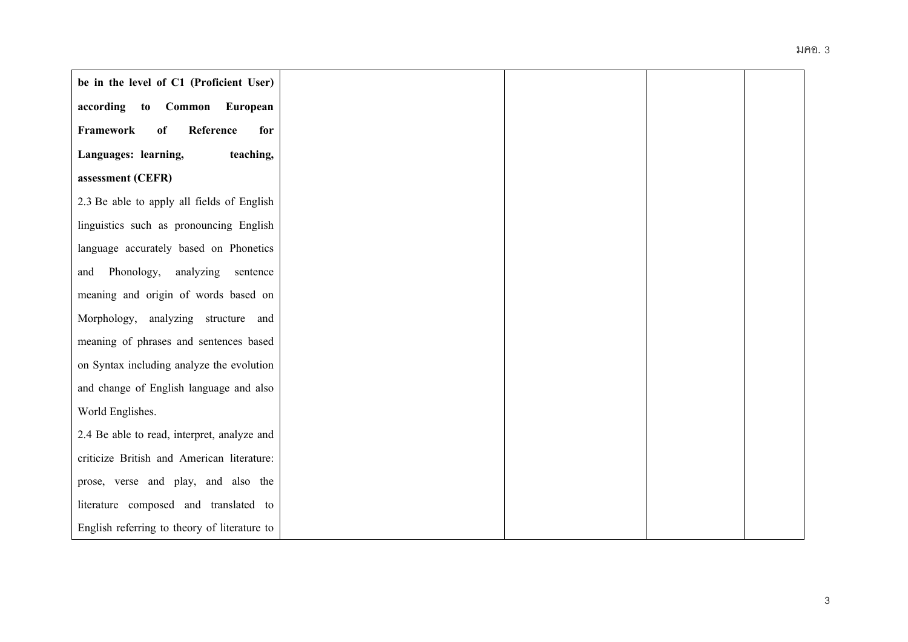| be in the level of C1 (Proficient User)      |  |
|----------------------------------------------|--|
| according to Common<br>European              |  |
| Framework<br>Reference<br>of<br>for          |  |
| Languages: learning,<br>teaching,            |  |
| assessment (CEFR)                            |  |
| 2.3 Be able to apply all fields of English   |  |
| linguistics such as pronouncing English      |  |
| language accurately based on Phonetics       |  |
| Phonology, analyzing<br>sentence<br>and      |  |
| meaning and origin of words based on         |  |
| Morphology, analyzing structure and          |  |
| meaning of phrases and sentences based       |  |
| on Syntax including analyze the evolution    |  |
| and change of English language and also      |  |
| World Englishes.                             |  |
| 2.4 Be able to read, interpret, analyze and  |  |
| criticize British and American literature:   |  |
| prose, verse and play, and also the          |  |
| literature composed and translated to        |  |
| English referring to theory of literature to |  |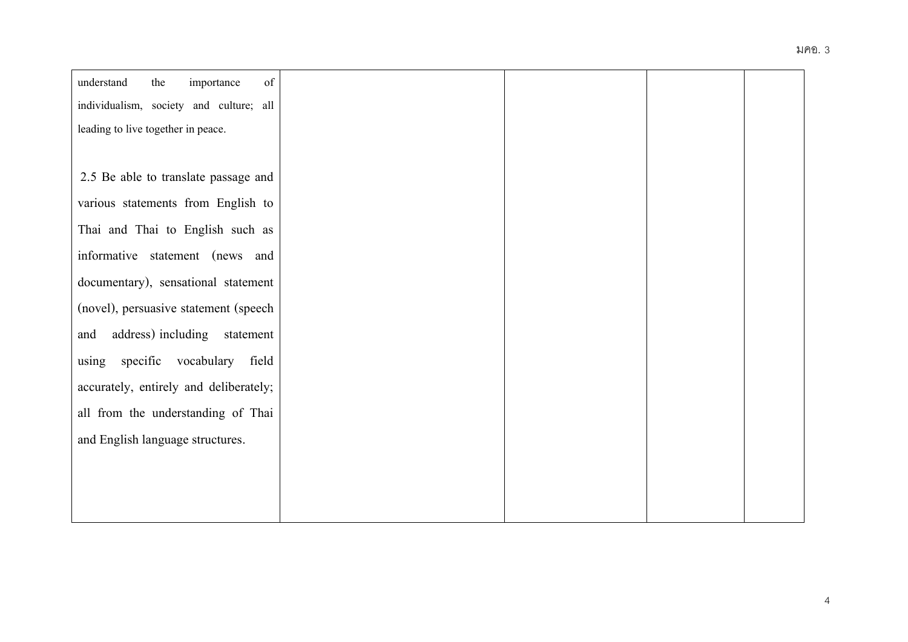|                                         |  | มคอ. 3 |
|-----------------------------------------|--|--------|
| of<br>understand<br>the<br>importance   |  |        |
| individualism, society and culture; all |  |        |
| leading to live together in peace.      |  |        |
|                                         |  |        |
| 2.5 Be able to translate passage and    |  |        |
| various statements from English to      |  |        |
| Thai and Thai to English such as        |  |        |
| informative statement (news and         |  |        |
| documentary), sensational statement     |  |        |
| (novel), persuasive statement (speech   |  |        |
| address) including statement<br>and     |  |        |
| using specific vocabulary field         |  |        |
| accurately, entirely and deliberately;  |  |        |
| all from the understanding of Thai      |  |        |
| and English language structures.        |  |        |
|                                         |  |        |
|                                         |  |        |
|                                         |  |        |
|                                         |  |        |
|                                         |  |        |
|                                         |  |        |
|                                         |  |        |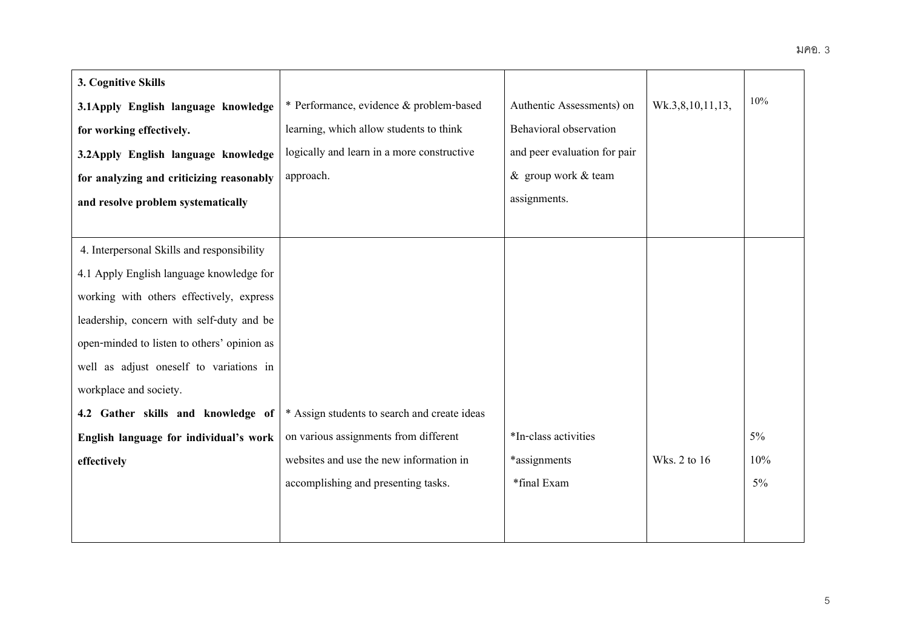| 3. Cognitive Skills                         |                                              |                              |                  |       |
|---------------------------------------------|----------------------------------------------|------------------------------|------------------|-------|
| 3.1 Apply English language knowledge        | * Performance, evidence & problem-based      | Authentic Assessments) on    | Wk.3,8,10,11,13, | 10%   |
| for working effectively.                    | learning, which allow students to think      | Behavioral observation       |                  |       |
| 3.2Apply English language knowledge         | logically and learn in a more constructive   | and peer evaluation for pair |                  |       |
| for analyzing and criticizing reasonably    | approach.                                    | & group work & team          |                  |       |
| and resolve problem systematically          |                                              | assignments.                 |                  |       |
|                                             |                                              |                              |                  |       |
| 4. Interpersonal Skills and responsibility  |                                              |                              |                  |       |
| 4.1 Apply English language knowledge for    |                                              |                              |                  |       |
| working with others effectively, express    |                                              |                              |                  |       |
| leadership, concern with self-duty and be   |                                              |                              |                  |       |
| open-minded to listen to others' opinion as |                                              |                              |                  |       |
| well as adjust oneself to variations in     |                                              |                              |                  |       |
| workplace and society.                      |                                              |                              |                  |       |
| 4.2 Gather skills and knowledge of          | * Assign students to search and create ideas |                              |                  |       |
| English language for individual's work      | on various assignments from different        | *In-class activities         |                  | $5\%$ |
| effectively                                 | websites and use the new information in      | *assignments                 | Wks. 2 to 16     | 10%   |
|                                             | accomplishing and presenting tasks.          | *final Exam                  |                  | 5%    |
|                                             |                                              |                              |                  |       |
|                                             |                                              |                              |                  |       |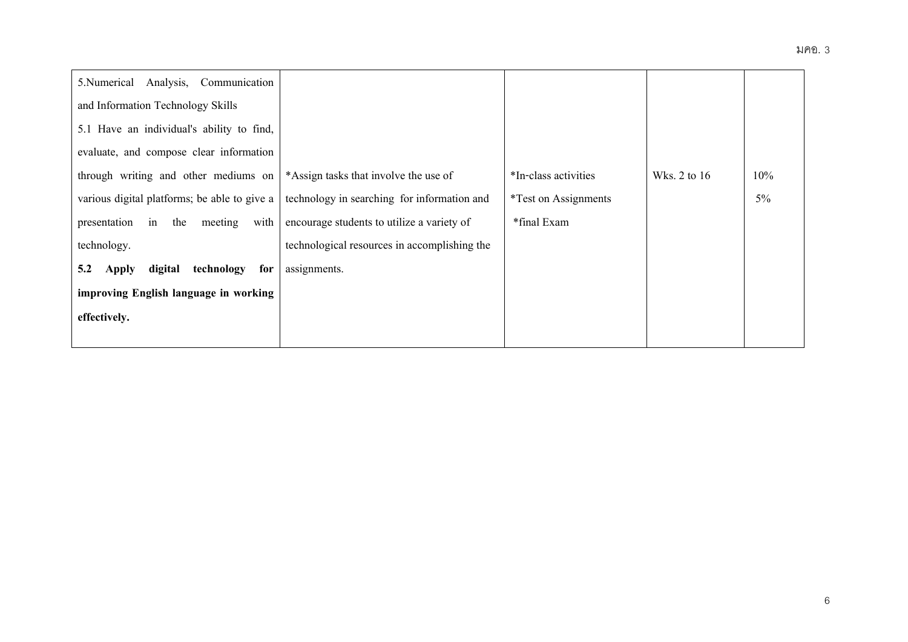| Analysis,<br>Communication<br>5.Numerical    |                                              |                             |              |       |
|----------------------------------------------|----------------------------------------------|-----------------------------|--------------|-------|
| and Information Technology Skills            |                                              |                             |              |       |
| 5.1 Have an individual's ability to find,    |                                              |                             |              |       |
| evaluate, and compose clear information      |                                              |                             |              |       |
| through writing and other mediums on         | *Assign tasks that involve the use of        | *In-class activities        | Wks. 2 to 16 | 10%   |
| various digital platforms; be able to give a | technology in searching for information and  | <i>*Test on Assignments</i> |              | $5\%$ |
| with<br>presentation<br>the<br>in<br>meeting | encourage students to utilize a variety of   | *final Exam                 |              |       |
| technology.                                  | technological resources in accomplishing the |                             |              |       |
| digital<br>technology<br>5.2<br>for<br>Apply | assignments.                                 |                             |              |       |
| improving English language in working        |                                              |                             |              |       |
| effectively.                                 |                                              |                             |              |       |
|                                              |                                              |                             |              |       |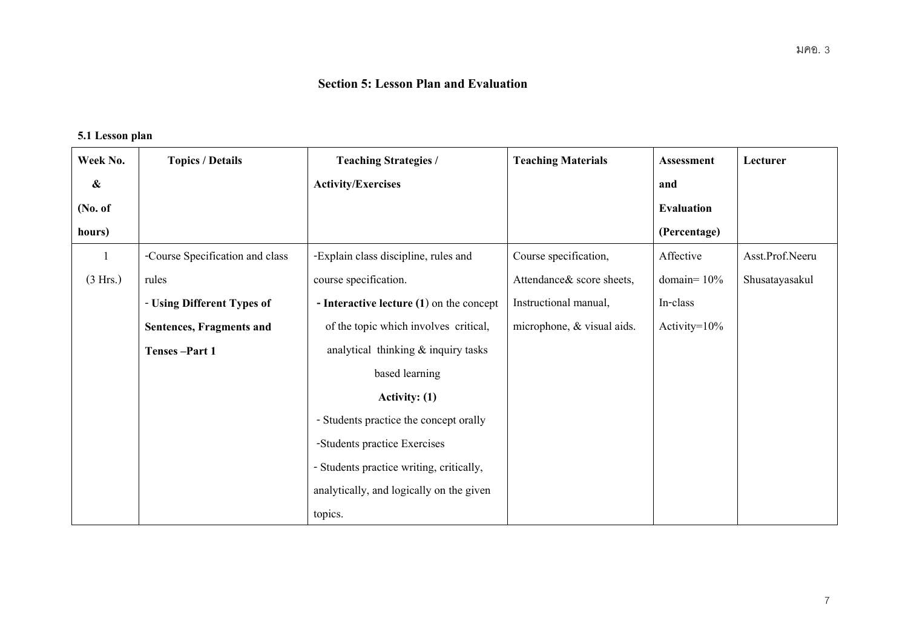# **Section 5: Lesson Plan and Evaluation**

# **5.1 Lesson plan**

| Week No.          | <b>Topics / Details</b>         | <b>Teaching Strategies /</b>               | <b>Teaching Materials</b>  | Assessment        | Lecturer        |
|-------------------|---------------------------------|--------------------------------------------|----------------------------|-------------------|-----------------|
| $\boldsymbol{\&}$ |                                 | <b>Activity/Exercises</b>                  |                            | and               |                 |
| (No. of           |                                 |                                            |                            | <b>Evaluation</b> |                 |
| hours)            |                                 |                                            |                            | (Percentage)      |                 |
| 1                 | -Course Specification and class | -Explain class discipline, rules and       | Course specification,      | Affective         | Asst.Prof.Neeru |
| (3 Hrs.)          | rules                           | course specification.                      | Attendance & score sheets, | domain= $10%$     | Shusatayasakul  |
|                   | - Using Different Types of      | - Interactive lecture $(1)$ on the concept | Instructional manual,      | In-class          |                 |
|                   | Sentences, Fragments and        | of the topic which involves critical,      | microphone, & visual aids. | Activity= $10\%$  |                 |
|                   | Tenses-Part 1                   | analytical thinking $&$ inquiry tasks      |                            |                   |                 |
|                   |                                 | based learning                             |                            |                   |                 |
|                   |                                 | Activity: $(1)$                            |                            |                   |                 |
|                   |                                 | - Students practice the concept orally     |                            |                   |                 |
|                   |                                 | -Students practice Exercises               |                            |                   |                 |
|                   |                                 | - Students practice writing, critically,   |                            |                   |                 |
|                   |                                 | analytically, and logically on the given   |                            |                   |                 |
|                   |                                 | topics.                                    |                            |                   |                 |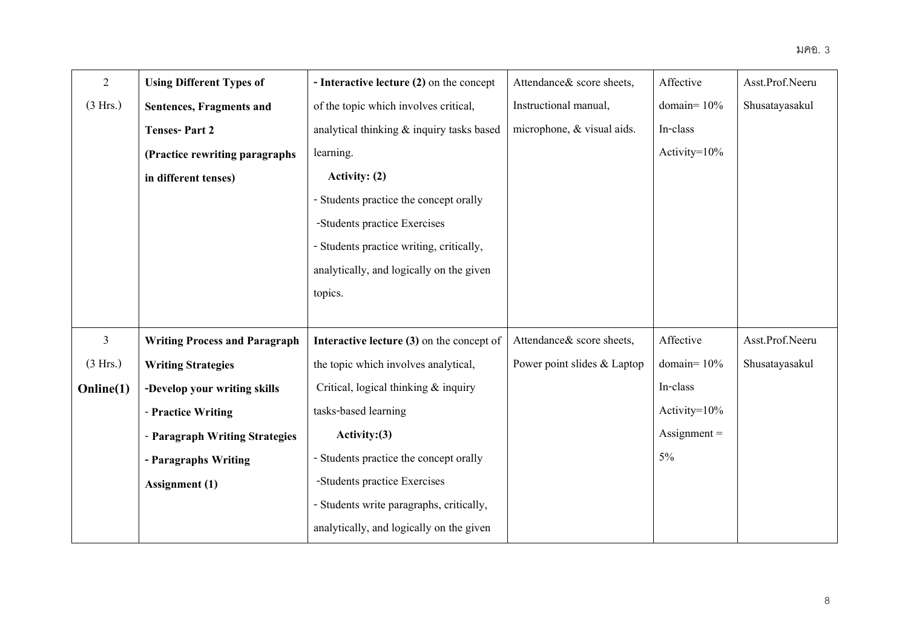| $\overline{2}$ | <b>Using Different Types of</b>      | - Interactive lecture (2) on the concept  | Attendance & score sheets,  | Affective             | Asst.Prof.Neeru |
|----------------|--------------------------------------|-------------------------------------------|-----------------------------|-----------------------|-----------------|
| (3 Hrs.)       | Sentences, Fragments and             | of the topic which involves critical,     | Instructional manual,       | domain= $10\%$        | Shusatayasakul  |
|                | <b>Tenses-Part 2</b>                 | analytical thinking & inquiry tasks based | microphone, & visual aids.  | In-class              |                 |
|                | (Practice rewriting paragraphs)      | learning.                                 |                             | Activity= $10\%$      |                 |
|                | in different tenses)                 | Activity: (2)                             |                             |                       |                 |
|                |                                      | - Students practice the concept orally    |                             |                       |                 |
|                |                                      | -Students practice Exercises              |                             |                       |                 |
|                |                                      | - Students practice writing, critically,  |                             |                       |                 |
|                |                                      | analytically, and logically on the given  |                             |                       |                 |
|                |                                      | topics.                                   |                             |                       |                 |
|                |                                      |                                           |                             |                       |                 |
| $\mathfrak{Z}$ | <b>Writing Process and Paragraph</b> | Interactive lecture (3) on the concept of | Attendance& score sheets,   | Affective             | Asst.Prof.Neeru |
| (3 Hrs.)       | <b>Writing Strategies</b>            | the topic which involves analytical,      | Power point slides & Laptop | domain= $10%$         | Shusatayasakul  |
| Online(1)      | -Develop your writing skills         | Critical, logical thinking $\&$ inquiry   |                             | In-class              |                 |
|                | - Practice Writing                   | tasks-based learning                      |                             | Activity= $10\%$      |                 |
|                | - Paragraph Writing Strategies       | Activity: (3)                             |                             | $\text{Assignment} =$ |                 |
|                | - Paragraphs Writing                 | - Students practice the concept orally    |                             | 5%                    |                 |
|                | Assignment (1)                       | -Students practice Exercises              |                             |                       |                 |
|                |                                      | - Students write paragraphs, critically,  |                             |                       |                 |
|                |                                      | analytically, and logically on the given  |                             |                       |                 |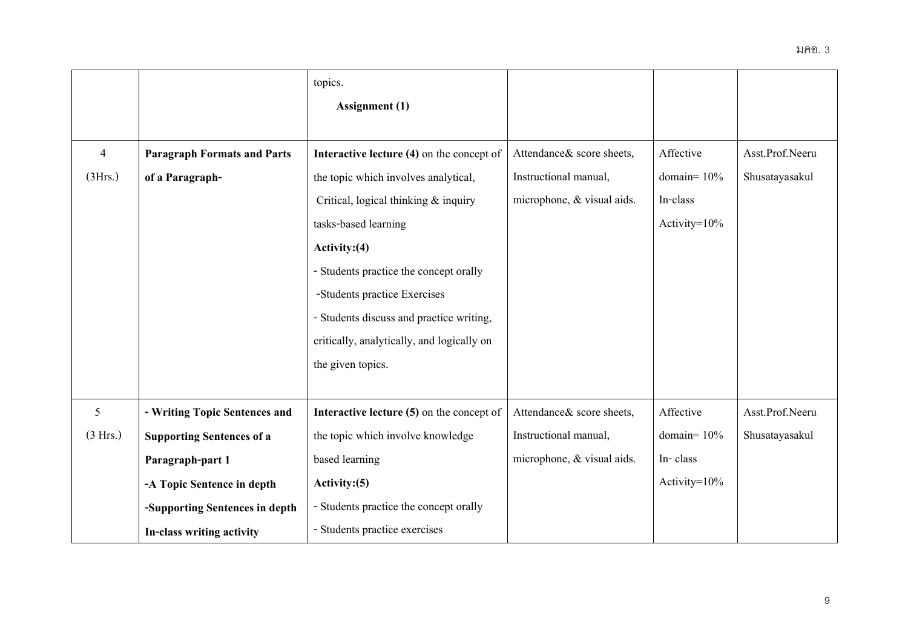|                |                                    | topics.                                    |                            |                  |                 |
|----------------|------------------------------------|--------------------------------------------|----------------------------|------------------|-----------------|
|                |                                    | Assignment (1)                             |                            |                  |                 |
|                |                                    |                                            |                            |                  |                 |
| $\overline{4}$ | <b>Paragraph Formats and Parts</b> | Interactive lecture (4) on the concept of  | Attendance & score sheets, | Affective        | Asst.Prof.Neeru |
| (3Hrs.)        | of a Paragraph-                    | the topic which involves analytical,       | Instructional manual,      | domain= $10%$    | Shusatayasakul  |
|                |                                    | Critical, logical thinking & inquiry       | microphone, & visual aids. | In-class         |                 |
|                |                                    | tasks-based learning                       |                            | Activity= $10\%$ |                 |
|                |                                    | Activity: $(4)$                            |                            |                  |                 |
|                |                                    | - Students practice the concept orally     |                            |                  |                 |
|                |                                    | -Students practice Exercises               |                            |                  |                 |
|                |                                    | - Students discuss and practice writing,   |                            |                  |                 |
|                |                                    | critically, analytically, and logically on |                            |                  |                 |
|                |                                    | the given topics.                          |                            |                  |                 |
|                |                                    |                                            |                            |                  |                 |
| 5              | - Writing Topic Sentences and      | Interactive lecture (5) on the concept of  | Attendance& score sheets,  | Affective        | Asst.Prof.Neeru |
| (3 Hrs.)       | <b>Supporting Sentences of a</b>   | the topic which involve knowledge          | Instructional manual,      | domain= $10%$    | Shusatayasakul  |
|                | Paragraph-part 1                   | based learning                             | microphone, & visual aids. | In-class         |                 |
|                | -A Topic Sentence in depth         | Activity: (5)                              |                            | Activity= $10\%$ |                 |
|                | -Supporting Sentences in depth     | - Students practice the concept orally     |                            |                  |                 |
|                | In-class writing activity          | - Students practice exercises              |                            |                  |                 |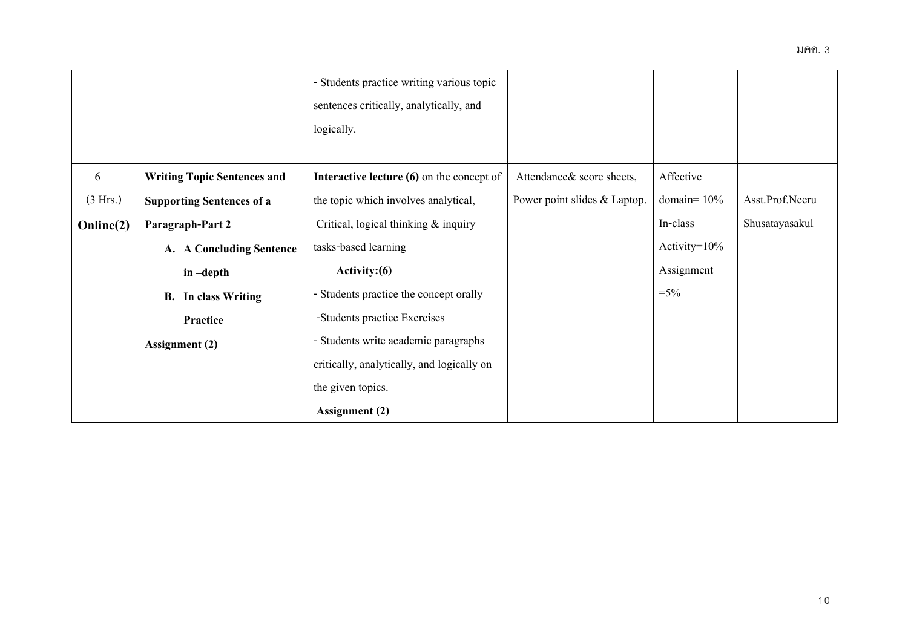|           |                                           | - Students practice writing various topic   |                              |                  |                 |
|-----------|-------------------------------------------|---------------------------------------------|------------------------------|------------------|-----------------|
|           |                                           | sentences critically, analytically, and     |                              |                  |                 |
|           |                                           | logically.                                  |                              |                  |                 |
|           |                                           |                                             |                              |                  |                 |
| 6         | <b>Writing Topic Sentences and</b>        | Interactive lecture $(6)$ on the concept of | Attendance & score sheets,   | Affective        |                 |
| (3 Hrs.)  | <b>Supporting Sentences of a</b>          | the topic which involves analytical,        | Power point slides & Laptop. | domain= $10\%$   | Asst.Prof.Neeru |
| Online(2) | Paragraph-Part 2                          | Critical, logical thinking & inquiry        |                              | In-class         | Shusatayasakul  |
|           | <b>A Concluding Sentence</b><br><b>A.</b> | tasks-based learning                        |                              | Activity= $10\%$ |                 |
|           | in-depth                                  | Activity: (6)                               |                              | Assignment       |                 |
|           | In class Writing<br><b>B.</b>             | - Students practice the concept orally      |                              | $=$ 5%           |                 |
|           | Practice                                  | -Students practice Exercises                |                              |                  |                 |
|           | <b>Assignment (2)</b>                     | - Students write academic paragraphs        |                              |                  |                 |
|           |                                           | critically, analytically, and logically on  |                              |                  |                 |
|           |                                           | the given topics.                           |                              |                  |                 |
|           |                                           | <b>Assignment</b> (2)                       |                              |                  |                 |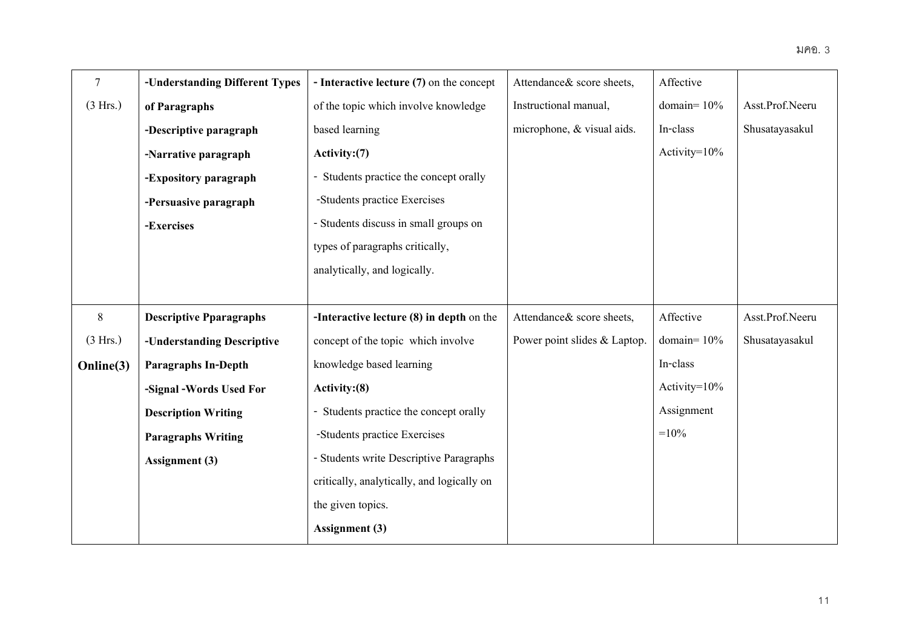| $\overline{7}$ | -Understanding Different Types | - Interactive lecture (7) on the concept   | Attendance& score sheets,    | Affective        |                 |
|----------------|--------------------------------|--------------------------------------------|------------------------------|------------------|-----------------|
| (3 Hrs.)       | of Paragraphs                  | of the topic which involve knowledge       | Instructional manual,        | domain= $10%$    | Asst.Prof.Neeru |
|                | -Descriptive paragraph         | based learning                             | microphone, & visual aids.   | In-class         | Shusatayasakul  |
|                | -Narrative paragraph           | Activity: (7)                              |                              | Activity=10%     |                 |
|                | -Expository paragraph          | Students practice the concept orally       |                              |                  |                 |
|                | -Persuasive paragraph          | -Students practice Exercises               |                              |                  |                 |
|                | -Exercises                     | - Students discuss in small groups on      |                              |                  |                 |
|                |                                | types of paragraphs critically,            |                              |                  |                 |
|                |                                | analytically, and logically.               |                              |                  |                 |
|                |                                |                                            |                              |                  |                 |
| 8              | <b>Descriptive Pparagraphs</b> | -Interactive lecture $(8)$ in depth on the | Attendance& score sheets,    | Affective        | Asst.Prof.Neeru |
| (3 Hrs.)       | -Understanding Descriptive     | concept of the topic which involve         | Power point slides & Laptop. | domain= $10%$    | Shusatayasakul  |
| Online(3)      | <b>Paragraphs In-Depth</b>     | knowledge based learning                   |                              | In-class         |                 |
|                | -Signal -Words Used For        | Activity: (8)                              |                              | Activity= $10\%$ |                 |
|                | <b>Description Writing</b>     | Students practice the concept orally       |                              | Assignment       |                 |
|                | <b>Paragraphs Writing</b>      | -Students practice Exercises               |                              | $=10%$           |                 |
|                | Assignment (3)                 | - Students write Descriptive Paragraphs    |                              |                  |                 |
|                |                                | critically, analytically, and logically on |                              |                  |                 |
|                |                                | the given topics.                          |                              |                  |                 |
|                |                                | <b>Assignment</b> (3)                      |                              |                  |                 |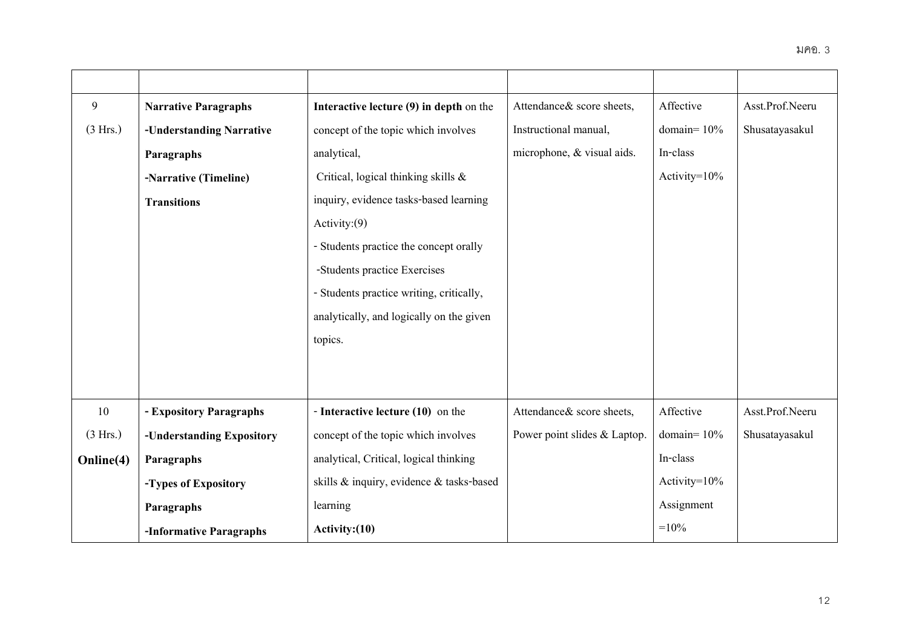| $\mathbf{9}$ | <b>Narrative Paragraphs</b> | Interactive lecture (9) in depth on the  | Attendance & score sheets,   | Affective        | Asst.Prof.Neeru |
|--------------|-----------------------------|------------------------------------------|------------------------------|------------------|-----------------|
| (3 Hrs.)     | -Understanding Narrative    | concept of the topic which involves      | Instructional manual,        | domain= $10\%$   | Shusatayasakul  |
|              | Paragraphs                  | analytical,                              | microphone, & visual aids.   | In-class         |                 |
|              | -Narrative (Timeline)       | Critical, logical thinking skills &      |                              | Activity=10%     |                 |
|              | <b>Transitions</b>          | inquiry, evidence tasks-based learning   |                              |                  |                 |
|              |                             | Activity: $(9)$                          |                              |                  |                 |
|              |                             | - Students practice the concept orally   |                              |                  |                 |
|              |                             | -Students practice Exercises             |                              |                  |                 |
|              |                             | - Students practice writing, critically, |                              |                  |                 |
|              |                             | analytically, and logically on the given |                              |                  |                 |
|              |                             | topics.                                  |                              |                  |                 |
|              |                             |                                          |                              |                  |                 |
|              |                             |                                          |                              |                  |                 |
| 10           | - Expository Paragraphs     | - Interactive lecture (10) on the        | Attendance & score sheets,   | Affective        | Asst.Prof.Neeru |
| (3 Hrs.)     | -Understanding Expository   | concept of the topic which involves      | Power point slides & Laptop. | domain= $10\%$   | Shusatayasakul  |
| Online(4)    | Paragraphs                  | analytical, Critical, logical thinking   |                              | In-class         |                 |
|              | -Types of Expository        | skills & inquiry, evidence & tasks-based |                              | Activity= $10\%$ |                 |
|              | Paragraphs                  | learning                                 |                              | Assignment       |                 |
|              | -Informative Paragraphs     | Activity: (10)                           |                              | $=10%$           |                 |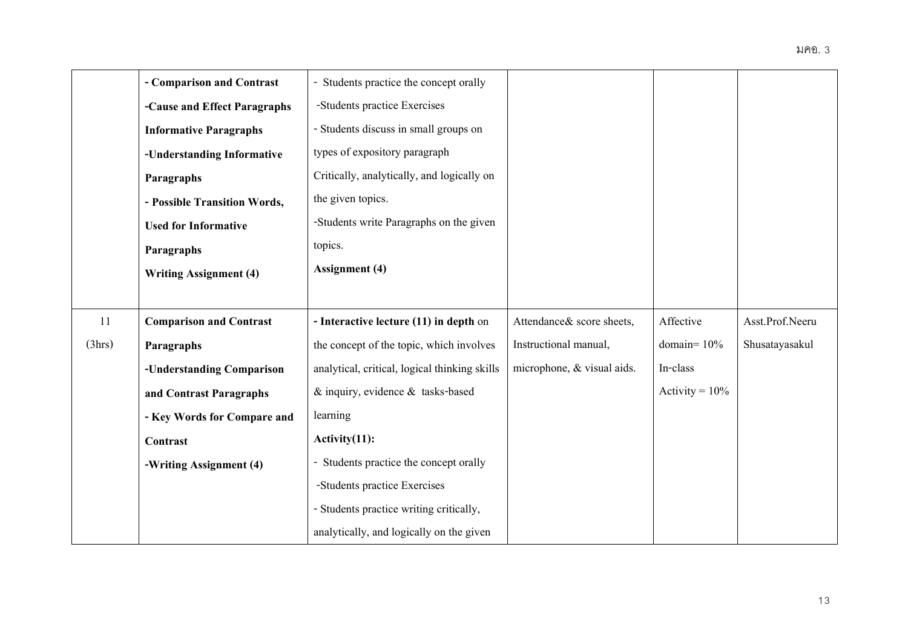|        | - Comparison and Contrast      | - Students practice the concept orally        |                            |                   |                 |
|--------|--------------------------------|-----------------------------------------------|----------------------------|-------------------|-----------------|
|        | -Cause and Effect Paragraphs   | -Students practice Exercises                  |                            |                   |                 |
|        | <b>Informative Paragraphs</b>  | - Students discuss in small groups on         |                            |                   |                 |
|        | -Understanding Informative     | types of expository paragraph                 |                            |                   |                 |
|        | Paragraphs                     | Critically, analytically, and logically on    |                            |                   |                 |
|        | - Possible Transition Words,   | the given topics.                             |                            |                   |                 |
|        | <b>Used for Informative</b>    | -Students write Paragraphs on the given       |                            |                   |                 |
|        | Paragraphs                     | topics.                                       |                            |                   |                 |
|        | <b>Writing Assignment (4)</b>  | <b>Assignment</b> (4)                         |                            |                   |                 |
|        |                                |                                               |                            |                   |                 |
| 11     | <b>Comparison and Contrast</b> | - Interactive lecture (11) in depth on        | Attendance & score sheets, | Affective         | Asst.Prof.Neeru |
| (3hrs) | Paragraphs                     | the concept of the topic, which involves      | Instructional manual,      | domain= $10%$     | Shusatayasakul  |
|        | -Understanding Comparison      | analytical, critical, logical thinking skills | microphone, & visual aids. | In-class          |                 |
|        | and Contrast Paragraphs        | $&$ inquiry, evidence $&$ tasks-based         |                            | Activity = $10\%$ |                 |
|        | - Key Words for Compare and    | learning                                      |                            |                   |                 |
|        | <b>Contrast</b>                | $Activity(11)$ :                              |                            |                   |                 |
|        | -Writing Assignment (4)        | - Students practice the concept orally        |                            |                   |                 |
|        |                                | -Students practice Exercises                  |                            |                   |                 |
|        |                                | - Students practice writing critically,       |                            |                   |                 |
|        |                                | analytically, and logically on the given      |                            |                   |                 |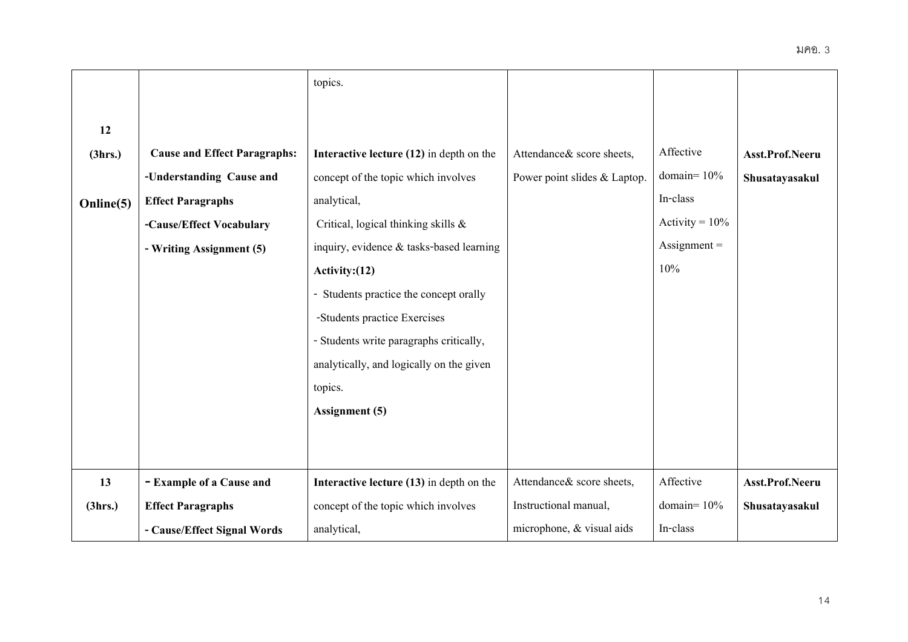|           |                                     | topics.                                    |                              |                       |                 |
|-----------|-------------------------------------|--------------------------------------------|------------------------------|-----------------------|-----------------|
|           |                                     |                                            |                              |                       |                 |
| 12        |                                     |                                            |                              |                       |                 |
| (3hrs.)   | <b>Cause and Effect Paragraphs:</b> | Interactive lecture $(12)$ in depth on the | Attendance & score sheets,   | Affective             | Asst.Prof.Neeru |
|           | -Understanding Cause and            | concept of the topic which involves        | Power point slides & Laptop. | domain= $10%$         | Shusatayasakul  |
| Online(5) | <b>Effect Paragraphs</b>            | analytical,                                |                              | In-class              |                 |
|           | -Cause/Effect Vocabulary            | Critical, logical thinking skills &        |                              | Activity = $10\%$     |                 |
|           | - Writing Assignment (5)            | inquiry, evidence & tasks-based learning   |                              | $\text{Assignment} =$ |                 |
|           |                                     | Activity: $(12)$                           |                              | 10%                   |                 |
|           |                                     | - Students practice the concept orally     |                              |                       |                 |
|           |                                     | -Students practice Exercises               |                              |                       |                 |
|           |                                     | - Students write paragraphs critically,    |                              |                       |                 |
|           |                                     | analytically, and logically on the given   |                              |                       |                 |
|           |                                     | topics.                                    |                              |                       |                 |
|           |                                     | Assignment (5)                             |                              |                       |                 |
|           |                                     |                                            |                              |                       |                 |
|           |                                     |                                            |                              |                       |                 |
| 13        | - Example of a Cause and            | Interactive lecture (13) in depth on the   | Attendance & score sheets,   | Affective             | Asst.Prof.Neeru |
| (3hrs.)   | <b>Effect Paragraphs</b>            | concept of the topic which involves        | Instructional manual,        | domain= $10%$         | Shusatayasakul  |
|           | - Cause/Effect Signal Words         | analytical,                                | microphone, & visual aids    | In-class              |                 |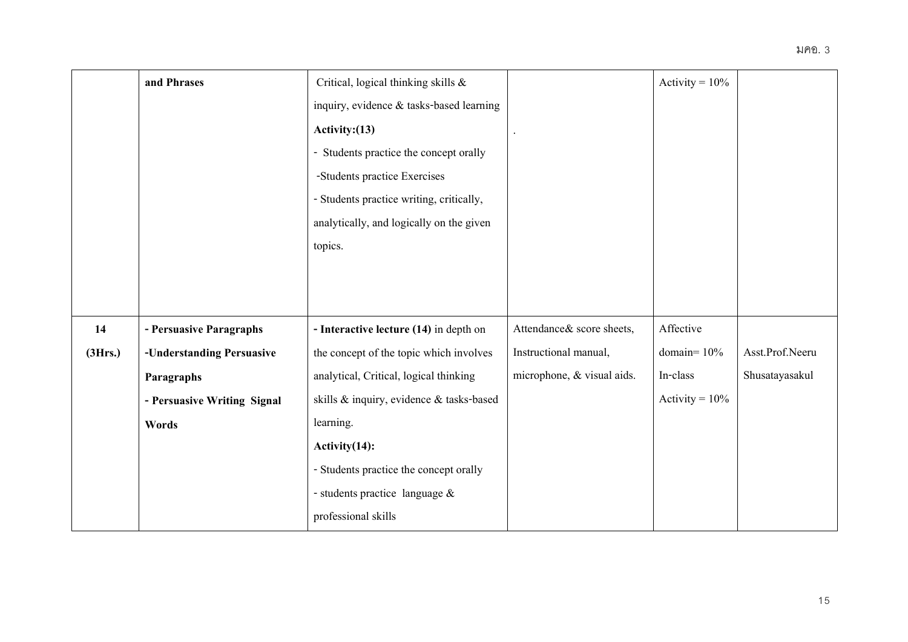|         | and Phrases                 | Critical, logical thinking skills &      |                            | Activity = $10\%$ |                 |
|---------|-----------------------------|------------------------------------------|----------------------------|-------------------|-----------------|
|         |                             | inquiry, evidence & tasks-based learning |                            |                   |                 |
|         |                             | Activity: $(13)$                         |                            |                   |                 |
|         |                             | - Students practice the concept orally   |                            |                   |                 |
|         |                             | -Students practice Exercises             |                            |                   |                 |
|         |                             | - Students practice writing, critically, |                            |                   |                 |
|         |                             | analytically, and logically on the given |                            |                   |                 |
|         |                             | topics.                                  |                            |                   |                 |
|         |                             |                                          |                            |                   |                 |
|         |                             |                                          |                            |                   |                 |
| 14      | - Persuasive Paragraphs     | - Interactive lecture (14) in depth on   | Attendance & score sheets, | Affective         |                 |
| (3Hrs.) | -Understanding Persuasive   | the concept of the topic which involves  | Instructional manual,      | domain= $10\%$    | Asst.Prof.Neeru |
|         | Paragraphs                  | analytical, Critical, logical thinking   | microphone, & visual aids. | In-class          | Shusatayasakul  |
|         | - Persuasive Writing Signal | skills & inquiry, evidence & tasks-based |                            | Activity = $10\%$ |                 |
|         | Words                       | learning.                                |                            |                   |                 |
|         |                             | Activity(14):                            |                            |                   |                 |
|         |                             | - Students practice the concept orally   |                            |                   |                 |
|         |                             | - students practice language &           |                            |                   |                 |
|         |                             | professional skills                      |                            |                   |                 |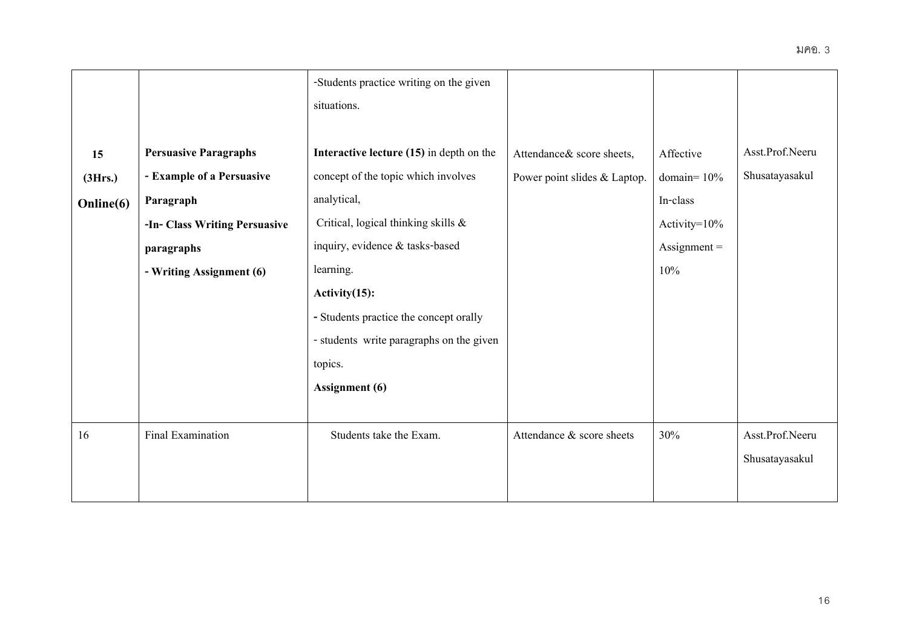|           |                               | -Students practice writing on the given  |                              |                       |                 |
|-----------|-------------------------------|------------------------------------------|------------------------------|-----------------------|-----------------|
|           |                               | situations.                              |                              |                       |                 |
| 15        | <b>Persuasive Paragraphs</b>  | Interactive lecture (15) in depth on the | Attendance & score sheets,   | Affective             | Asst.Prof.Neeru |
| (3Hrs.)   | - Example of a Persuasive     | concept of the topic which involves      | Power point slides & Laptop. | domain= $10%$         | Shusatayasakul  |
| Online(6) | Paragraph                     | analytical,                              |                              | In-class              |                 |
|           | -In- Class Writing Persuasive | Critical, logical thinking skills &      |                              | Activity= $10\%$      |                 |
|           | paragraphs                    | inquiry, evidence & tasks-based          |                              | $\text{Assignment} =$ |                 |
|           | - Writing Assignment (6)      | learning.                                |                              | 10%                   |                 |
|           |                               | Activity $(15)$ :                        |                              |                       |                 |
|           |                               | - Students practice the concept orally   |                              |                       |                 |
|           |                               | - students write paragraphs on the given |                              |                       |                 |
|           |                               | topics.                                  |                              |                       |                 |
|           |                               | <b>Assignment</b> (6)                    |                              |                       |                 |
|           |                               |                                          |                              |                       |                 |
| 16        | Final Examination             | Students take the Exam.                  | Attendance & score sheets    | 30%                   | Asst.Prof.Neeru |
|           |                               |                                          |                              |                       | Shusatayasakul  |
|           |                               |                                          |                              |                       |                 |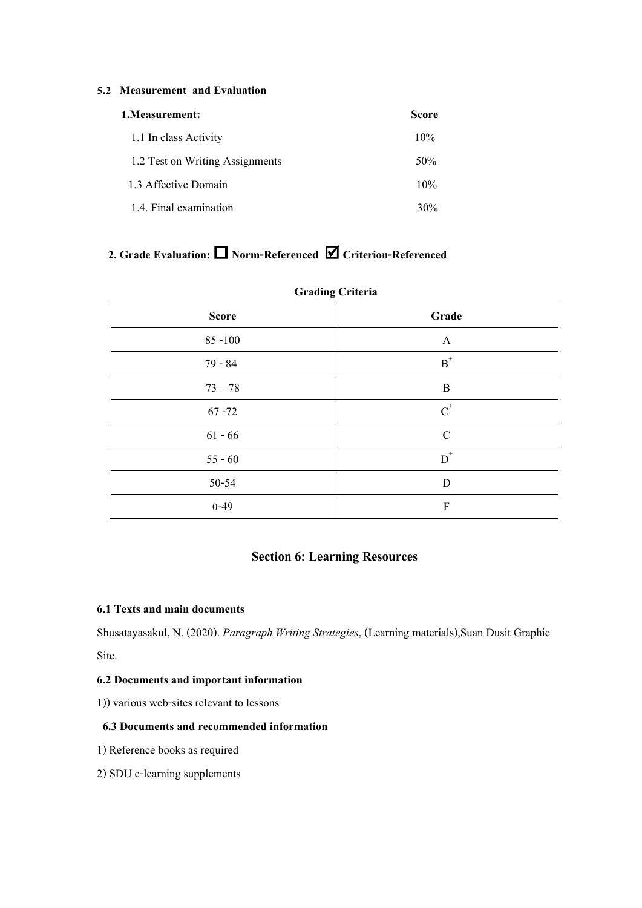#### **5.2 Measurement and Evaluation**

| 1. Measurement:                 | Score  |
|---------------------------------|--------|
| 1.1 In class Activity           | 10%    |
| 1.2 Test on Writing Assignments | 50%    |
| 1.3 Affective Domain            | 10%    |
| 1.4. Final examination          | $30\%$ |

# **2. Grade Evaluation: Norm-Referenced Criterion-Referenced**

| $\sigma$     |                           |  |  |  |  |
|--------------|---------------------------|--|--|--|--|
| <b>Score</b> | Grade                     |  |  |  |  |
| $85 - 100$   | $\mathbf{A}$              |  |  |  |  |
| $79 - 84$    | $\mbox{\bf B}^*$          |  |  |  |  |
| $73 - 78$    | $\, {\bf B}$              |  |  |  |  |
| $67 - 72$    | $\text{C}^*$              |  |  |  |  |
| $61 - 66$    | $\mathcal{C}$             |  |  |  |  |
| $55 - 60$    | $\mbox{D}^*$              |  |  |  |  |
| 50-54        | $\mathbf D$               |  |  |  |  |
| $0 - 49$     | $\boldsymbol{\mathrm{F}}$ |  |  |  |  |

#### **Grading Criteria**

# **Section 6: Learning Resources**

### **6.1 Texts and main documents**

Shusatayasakul, N. (2020). *Paragraph Writing Strategies*, (Learning materials),Suan Dusit Graphic Site.

# **6.2 Documents and important information**

1)) various web-sites relevant to lessons

#### **6.3 Documents and recommended information**

- 1) Reference books as required
- 2) SDU e-learning supplements